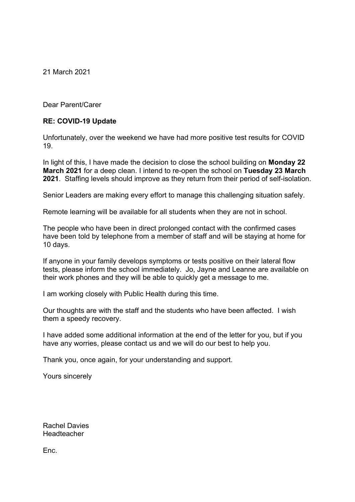21 March 2021

Dear Parent/Carer

#### **RE: COVID-19 Update**

Unfortunately, over the weekend we have had more positive test results for COVID 19.

In light of this, I have made the decision to close the school building on **Monday 22 March 2021** for a deep clean. I intend to re-open the school on **Tuesday 23 March 2021**. Staffing levels should improve as they return from their period of self-isolation.

Senior Leaders are making every effort to manage this challenging situation safely.

Remote learning will be available for all students when they are not in school.

The people who have been in direct prolonged contact with the confirmed cases have been told by telephone from a member of staff and will be staying at home for 10 days.

If anyone in your family develops symptoms or tests positive on their lateral flow tests, please inform the school immediately. Jo, Jayne and Leanne are available on their work phones and they will be able to quickly get a message to me.

I am working closely with Public Health during this time.

Our thoughts are with the staff and the students who have been affected. I wish them a speedy recovery.

I have added some additional information at the end of the letter for you, but if you have any worries, please contact us and we will do our best to help you.

Thank you, once again, for your understanding and support.

Yours sincerely

Rachel Davies Headteacher

Enc.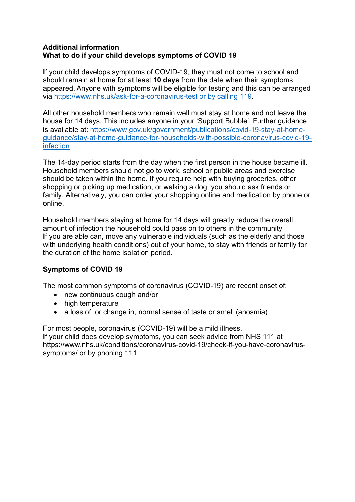### **Additional information What to do if your child develops symptoms of COVID 19**

If your child develops symptoms of COVID-19, they must not come to school and should remain at home for at least **10 days** from the date when their symptoms appeared. Anyone with symptoms will be eligible for testing and this can be arranged via [https://www.nhs.uk/ask-for-a-coronavirus-test](https://www.nhs.uk/ask-for-a-coronavirus-test%20or%20by%20calling%20119) or by calling 119.

All other household members who remain well must stay at home and not leave the house for 14 days. This includes anyone in your 'Support Bubble'. Further guidance is available at: [https://www.gov.uk/government/publications/covid-19-stay-at-home](https://www.gov.uk/government/publications/covid-19-stay-at-home-guidance/stay-at-home-guidance-for-households-with-possible-coronavirus-covid-19-infection)[guidance/stay-at-home-guidance-for-households-with-possible-coronavirus-covid-19](https://www.gov.uk/government/publications/covid-19-stay-at-home-guidance/stay-at-home-guidance-for-households-with-possible-coronavirus-covid-19-infection) [infection](https://www.gov.uk/government/publications/covid-19-stay-at-home-guidance/stay-at-home-guidance-for-households-with-possible-coronavirus-covid-19-infection)

The 14-day period starts from the day when the first person in the house became ill. Household members should not go to work, school or public areas and exercise should be taken within the home. If you require help with buying groceries, other shopping or picking up medication, or walking a dog, you should ask friends or family. Alternatively, you can order your shopping online and medication by phone or online.

Household members staying at home for 14 days will greatly reduce the overall amount of infection the household could pass on to others in the community If you are able can, move any vulnerable individuals (such as the elderly and those with underlying health conditions) out of your home, to stay with friends or family for the duration of the home isolation period.

# **Symptoms of COVID 19**

The most common symptoms of coronavirus (COVID-19) are recent onset of:

- new continuous cough and/or
- high temperature
- a loss of, or change in, normal sense of taste or smell (anosmia)

For most people, coronavirus (COVID-19) will be a mild illness. If your child does develop symptoms, you can seek advice from NHS 111 at https://www.nhs.uk/conditions/coronavirus-covid-19/check-if-you-have-coronavirussymptoms/ or by phoning 111